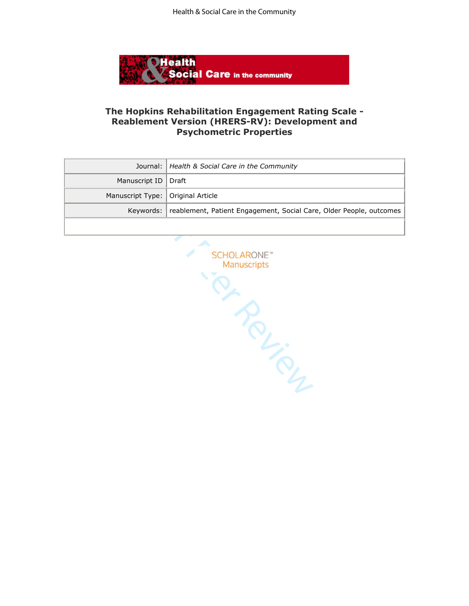

## **The Hopkins Rehabilitation Engagement Rating Scale - Reablement Version (HRERS-RV): Development and Psychometric Properties**

|                                     | Journal:   Health & Social Care in the Community                              |
|-------------------------------------|-------------------------------------------------------------------------------|
| Manuscript ID   Draft               |                                                                               |
| Manuscript Type:   Original Article |                                                                               |
|                                     | Keywords: reablement, Patient Engagement, Social Care, Older People, outcomes |
|                                     |                                                                               |

SCHOLARONE" Manuscripts<br>
PARA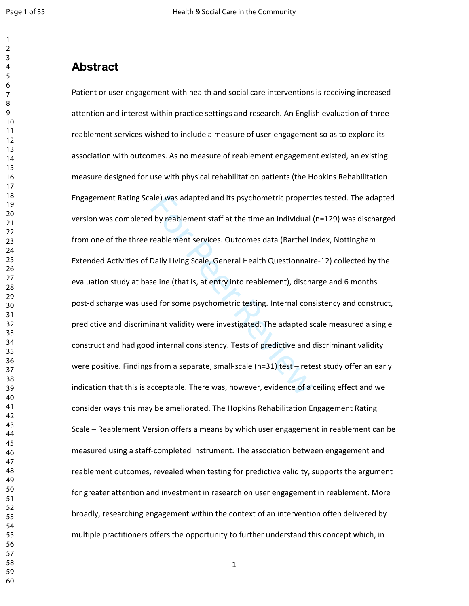#### $\mathbf{1}$   $\overline{2}$  $\overline{7}$

# **Abstract**

ale) was adapted and its psychometric properti<br>I by reablement staff at the time an individual (<br>reablement services. Outcomes data (Barthel II<br>Daily Living Scale, General Health Questionnair<br>seline (that is, at entry into Patient or user engagement with health and social care interventions is receiving increased attention and interest within practice settings and research. An English evaluation of three reablement services wished to include a measure of user-engagement so as to explore its association with outcomes. As no measure of reablement engagement existed, an existing measure designed for use with physical rehabilitation patients (the Hopkins Rehabilitation Engagement Rating Scale) was adapted and its psychometric properties tested. The adapted version was completed by reablement staff at the time an individual (n=129) was discharged from one of the three reablement services. Outcomes data (Barthel Index, Nottingham Extended Activities of Daily Living Scale, General Health Questionnaire-12) collected by the evaluation study at baseline (that is, at entry into reablement), discharge and 6 months post-discharge was used for some psychometric testing. Internal consistency and construct, predictive and discriminant validity were investigated. The adapted scale measured a single construct and had good internal consistency. Tests of predictive and discriminant validity were positive. Findings from a separate, small-scale (n=31) test – retest study offer an early indication that this is acceptable. There was, however, evidence of a ceiling effect and we consider ways this may be ameliorated. The Hopkins Rehabilitation Engagement Rating Scale – Reablement Version offers a means by which user engagement in reablement can be measured using a staff-completed instrument. The association between engagement and reablement outcomes, revealed when testing for predictive validity, supports the argument for greater attention and investment in research on user engagement in reablement. More broadly, researching engagement within the context of an intervention often delivered by multiple practitioners offers the opportunity to further understand this concept which, in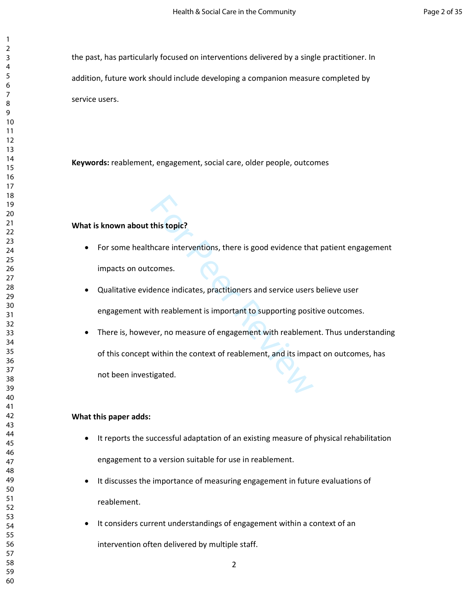the past, has particularly focused on interventions delivered by a single practitioner. In addition, future work should include developing a companion measure completed by service users.

**Keywords:** reablement, engagement, social care, older people, outcomes

#### **What is known about this topic?**

- For some healthcare interventions, there is good evidence that patient engagement impacts on outcomes.
- Qualitative evidence indicates, practitioners and service users believe user engagement with reablement is important to supporting positive outcomes.
- this topic?<br>
hcare interventions, there is good evidence tha<br>
comes.<br>
dence indicates, practitioners and service users<br>
ith reablement is important to supporting posit<br>
ver, no measure of engagement with reableme<br>
within t • There is, however, no measure of engagement with reablement. Thus understanding of this concept within the context of reablement, and its impact on outcomes, has not been investigated.

#### **What this paper adds:**

- It reports the successful adaptation of an existing measure of physical rehabilitation engagement to a version suitable for use in reablement.
- It discusses the importance of measuring engagement in future evaluations of reablement.
- It considers current understandings of engagement within a context of an

intervention often delivered by multiple staff.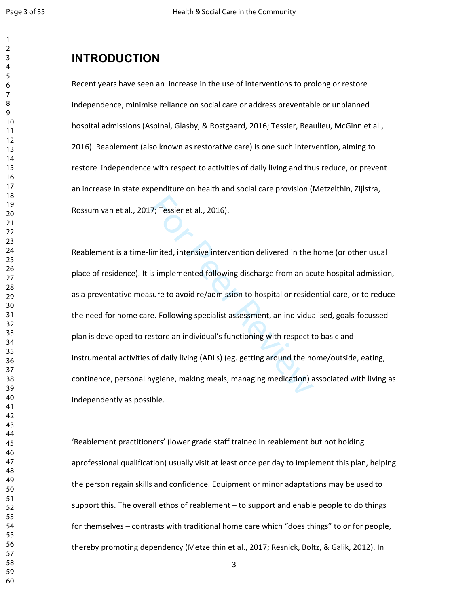$\mathbf{1}$ 

#### $\overline{2}$

# **INTRODUCTION**

Recent years have seen an increase in the use of interventions to prolong or restore independence, minimise reliance on social care or address preventable or unplanned hospital admissions (Aspinal, Glasby, & Rostgaard, 2016; Tessier, Beaulieu, McGinn et al., 2016). Reablement (also known as restorative care) is one such intervention, aiming to restore independence with respect to activities of daily living and thus reduce, or prevent an increase in state expenditure on health and social care provision (Metzelthin, Zijlstra, Rossum van et al., 2017; Tessier et al., 2016).

7; Tessier et al., 2016).<br>
imited, intensive intervention delivered in the l<br>
is implemented following discharge from an act<br>
sure to avoid re/admission to hospital or reside<br>
e. Following specialist assessment, an individ Reablement is a time-limited, intensive intervention delivered in the home (or other usual place of residence). It is implemented following discharge from an acute hospital admission, as a preventative measure to avoid re/admission to hospital or residential care, or to reduce the need for home care. Following specialist assessment, an individualised, goals-focussed plan is developed to restore an individual's functioning with respect to basic and instrumental activities of daily living (ADLs) (eg. getting around the home/outside, eating, continence, personal hygiene, making meals, managing medication) associated with living as independently as possible.

'Reablement practitioners' (lower grade staff trained in reablement but not holding aprofessional qualification) usually visit at least once per day to implement this plan, helping the person regain skills and confidence. Equipment or minor adaptations may be used to support this. The overall ethos of reablement – to support and enable people to do things for themselves – contrasts with traditional home care which "does things" to or for people, thereby promoting dependency (Metzelthin et al., 2017; Resnick, Boltz, & Galik, 2012). In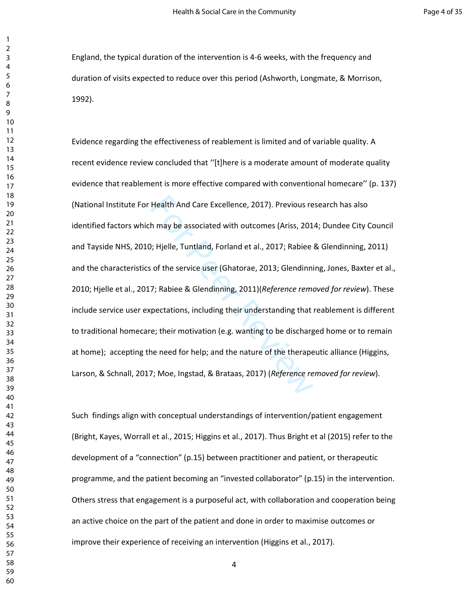England, the typical duration of the intervention is 4-6 weeks, with the frequency and duration of visits expected to reduce over this period (Ashworth, Longmate, & Morrison, 1992).

Health And Care Excellence, 2017). Previous re<br>
h may be associated with outcomes (Ariss, 201<br>
1); Hjelle, Tuntland, Forland et al., 2017; Rabiee<br>
1); Hjelle, Tuntland, Forland et al., 2017; Rabiee<br>
1); Rabiee & Glendinnin Evidence regarding the effectiveness of reablement is limited and of variable quality. A recent evidence review concluded that ''[t]here is a moderate amount of moderate quality evidence that reablement is more effective compared with conventional homecare'' (p. 137) (National Institute For Health And Care Excellence, 2017). Previous research has also identified factors which may be associated with outcomes (Ariss, 2014; Dundee City Council and Tayside NHS, 2010; Hjelle, Tuntland, Forland et al., 2017; Rabiee & Glendinning, 2011) and the characteristics of the service user (Ghatorae, 2013; Glendinning, Jones, Baxter et al., 2010; Hjelle et al., 2017; Rabiee & Glendinning, 2011)(*Reference removed for review*). These include service user expectations, including their understanding that reablement is different to traditional homecare; their motivation (e.g. wanting to be discharged home or to remain at home); accepting the need for help; and the nature of the therapeutic alliance (Higgins, Larson, & Schnall, 2017; Moe, Ingstad, & Brataas, 2017) (*Reference removed for review*).

Such findings align with conceptual understandings of intervention/patient engagement (Bright, Kayes, Worrall et al., 2015; Higgins et al., 2017). Thus Bright et al (2015) refer to the development of a "connection" (p.15) between practitioner and patient, or therapeutic programme, and the patient becoming an "invested collaborator" (p.15) in the intervention. Others stress that engagement is a purposeful act, with collaboration and cooperation being an active choice on the part of the patient and done in order to maximise outcomes or improve their experience of receiving an intervention (Higgins et al., 2017).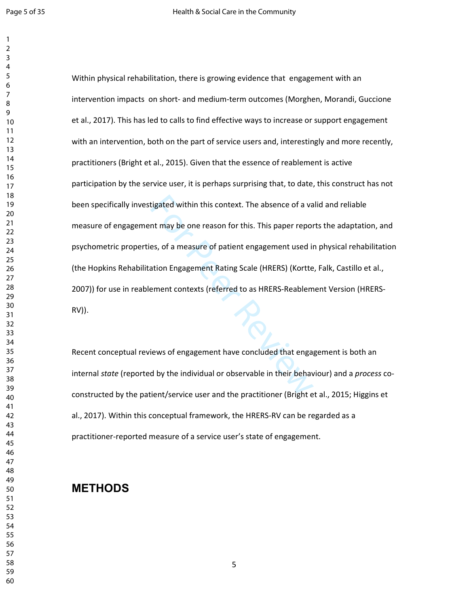$\mathbf{1}$ 

tigated within this context. The absence of a vant<br>may be one reason for this. This paper repor<br>es, of a measure of patient engagement used in<br>ation Engagement Rating Scale (HRERS) (Kortte<br>ement contexts (referred to as HR Within physical rehabilitation, there is growing evidence that engagement with an intervention impacts on short- and medium-term outcomes (Morghen, Morandi, Guccione et al., 2017). This has led to calls to find effective ways to increase or support engagement with an intervention, both on the part of service users and, interestingly and more recently, practitioners (Bright et al., 2015). Given that the essence of reablement is active participation by the service user, it is perhaps surprising that, to date, this construct has not been specifically investigated within this context. The absence of a valid and reliable measure of engagement may be one reason for this. This paper reports the adaptation, and psychometric properties, of a measure of patient engagement used in physical rehabilitation (the Hopkins Rehabilitation Engagement Rating Scale (HRERS) (Kortte, Falk, Castillo et al., 2007)) for use in reablement contexts (referred to as HRERS-Reablement Version (HRERS-RV)).

Recent conceptual reviews of engagement have concluded that engagement is both an internal *state* (reported by the individual or observable in their behaviour) and a *process* coconstructed by the patient/service user and the practitioner (Bright et al., 2015; Higgins et al., 2017). Within this conceptual framework, the HRERS-RV can be regarded as a practitioner-reported measure of a service user's state of engagement.

# **METHODS**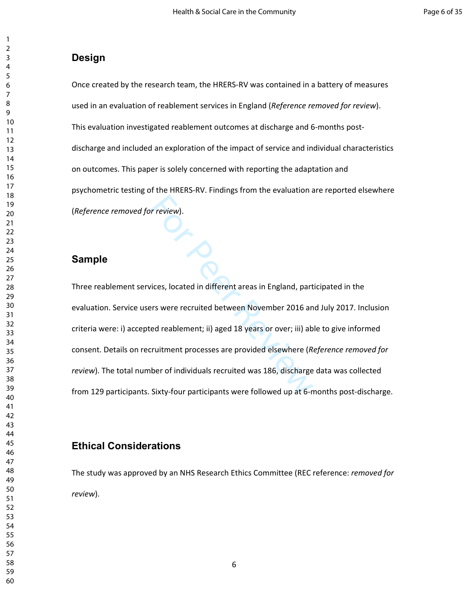## **Design**

Once created by the research team, the HRERS-RV was contained in a battery of measures used in an evaluation of reablement services in England (*Reference removed for review*). This evaluation investigated reablement outcomes at discharge and 6-months postdischarge and included an exploration of the impact of service and individual characteristics on outcomes. This paper is solely concerned with reporting the adaptation and psychometric testing of the HRERS-RV. Findings from the evaluation are reported elsewhere (*Reference removed for review*).

## **Sample**

r review).<br>
Fices, located in different areas in England, part<br>
First were recruited between November 2016 an<br>
ed reablement; ii) aged 18 years or over; iii) ab<br>
Fruitment processes are provided elsewhere (Ruber of individ Three reablement services, located in different areas in England, participated in the evaluation. Service users were recruited between November 2016 and July 2017. Inclusion criteria were: i) accepted reablement; ii) aged 18 years or over; iii) able to give informed consent. Details on recruitment processes are provided elsewhere (*Reference removed for review*). The total number of individuals recruited was 186, discharge data was collected from 129 participants. Sixty-four participants were followed up at 6-months post-discharge.

# **Ethical Considerations**

The study was approved by an NHS Research Ethics Committee (REC reference: *removed for review*).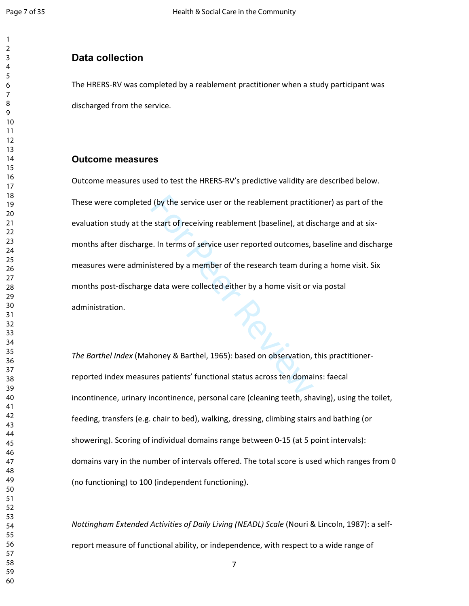## **Data collection**

The HRERS-RV was completed by a reablement practitioner when a study participant was discharged from the service.

#### **Outcome measures**

I (by the service user or the reablement practitient and the start of receiving reablement (baseline), at dise<br>
1. In terms of service user reported outcomes, I<br>
istered by a member of the research team during<br>
1. In terms Outcome measures used to test the HRERS-RV's predictive validity are described below. These were completed (by the service user or the reablement practitioner) as part of the evaluation study at the start of receiving reablement (baseline), at discharge and at sixmonths after discharge. In terms of service user reported outcomes, baseline and discharge measures were administered by a member of the research team during a home visit. Six months post-discharge data were collected either by a home visit or via postal administration.

*The Barthel Index* (Mahoney & Barthel, 1965): based on observation, this practitionerreported index measures patients' functional status across ten domains: faecal incontinence, urinary incontinence, personal care (cleaning teeth, shaving), using the toilet, feeding, transfers (e.g. chair to bed), walking, dressing, climbing stairs and bathing (or showering). Scoring of individual domains range between 0-15 (at 5 point intervals): domains vary in the number of intervals offered. The total score is used which ranges from 0 (no functioning) to 100 (independent functioning).

*Nottingham Extended Activities of Daily Living (NEADL) Scale (Nouri & Lincoln, 1987): a self*report measure of functional ability, or independence, with respect to a wide range of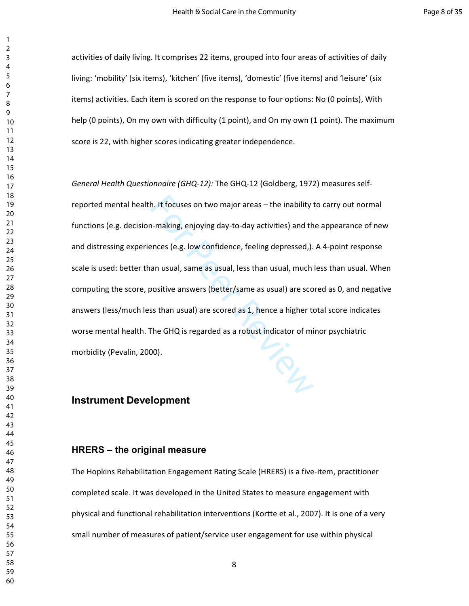activities of daily living. It comprises 22 items, grouped into four areas of activities of daily living: 'mobility' (six items), 'kitchen' (five items), 'domestic' (five items) and 'leisure' (six items) activities. Each item is scored on the response to four options: No (0 points), With help (0 points), On my own with difficulty (1 point), and On my own (1 point). The maximum score is 22, with higher scores indicating greater independence.

h. It focuses on two major areas – the inability in-making, enjoying day-to-day activities) and thences (e.g. low confidence, feeling depressed,).<br>an usual, same as usual, less than usual, much positive answers (better/sam *General Health Questionnaire (GHQ-12):* The GHQ-12 (Goldberg, 1972) measures selfreported mental health. It focuses on two major areas – the inability to carry out normal functions (e.g. decision-making, enjoying day-to-day activities) and the appearance of new and distressing experiences (e.g. low confidence, feeling depressed,). A 4-point response scale is used: better than usual, same as usual, less than usual, much less than usual. When computing the score, positive answers (better/same as usual) are scored as 0, and negative answers (less/much less than usual) are scored as 1, hence a higher total score indicates worse mental health. The GHQ is regarded as a robust indicator of minor psychiatric morbidity (Pevalin, 2000).

## **Instrument Development**

#### **HRERS – the original measure**

The Hopkins Rehabilitation Engagement Rating Scale (HRERS) is a five-item, practitioner completed scale. It was developed in the United States to measure engagement with physical and functional rehabilitation interventions (Kortte et al., 2007). It is one of a very small number of measures of patient/service user engagement for use within physical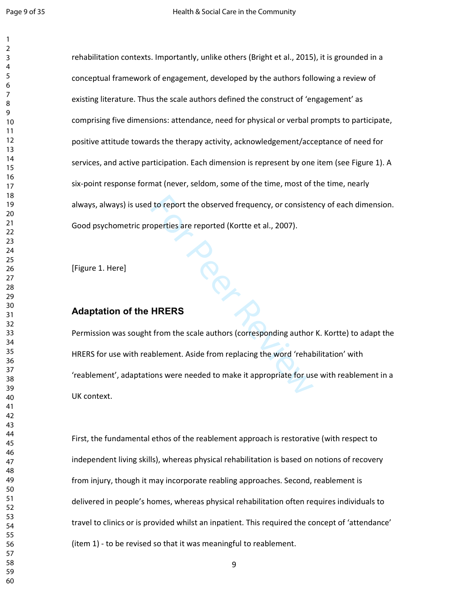$\mathbf{1}$  $\overline{2}$ 

For Peer Review rehabilitation contexts. Importantly, unlike others (Bright et al., 2015), it is grounded in a conceptual framework of engagement, developed by the authors following a review of existing literature. Thus the scale authors defined the construct of 'engagement' as comprising five dimensions: attendance, need for physical or verbal prompts to participate, positive attitude towards the therapy activity, acknowledgement/acceptance of need for services, and active participation. Each dimension is represent by one item (see Figure 1). A six-point response format (never, seldom, some of the time, most of the time, nearly always, always) is used to report the observed frequency, or consistency of each dimension. Good psychometric properties are reported (Kortte et al., 2007).

[Figure 1. Here]

#### **Adaptation of the HRERS**

Permission was sought from the scale authors (corresponding author K. Kortte) to adapt the HRERS for use with reablement. Aside from replacing the word 'rehabilitation' with 'reablement', adaptations were needed to make it appropriate for use with reablement in a UK context.

First, the fundamental ethos of the reablement approach is restorative (with respect to independent living skills), whereas physical rehabilitation is based on notions of recovery from injury, though it may incorporate reabling approaches. Second, reablement is delivered in people's homes, whereas physical rehabilitation often requires individuals to travel to clinics or is provided whilst an inpatient. This required the concept of 'attendance' (item 1) - to be revised so that it was meaningful to reablement.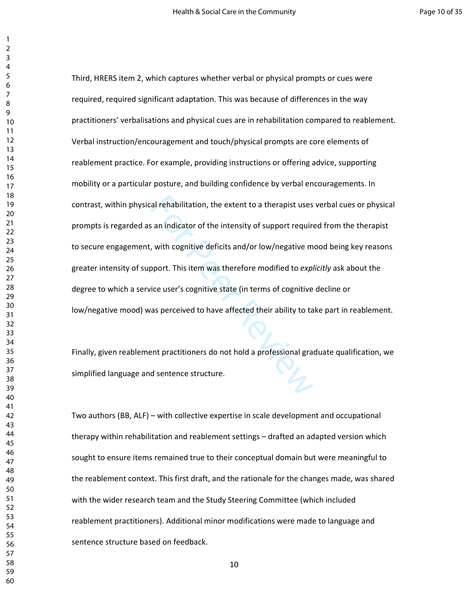relative to a therapist uses<br>an indicator of the intensity of support require<br>y, with cognitive deficits and/or low/negative m<br>opport. This item was therefore modified to expl<br>ice user's cognitive state (in terms of cognit Third, HRERS item 2, which captures whether verbal or physical prompts or cues were required, required significant adaptation. This was because of differences in the way practitioners' verbalisations and physical cues are in rehabilitation compared to reablement. Verbal instruction/encouragement and touch/physical prompts are core elements of reablement practice. For example, providing instructions or offering advice, supporting mobility or a particular posture, and building confidence by verbal encouragements. In contrast, within physical rehabilitation, the extent to a therapist uses verbal cues or physical prompts is regarded as an indicator of the intensity of support required from the therapist to secure engagement, with cognitive deficits and/or low/negative mood being key reasons greater intensity of support. This item was therefore modified to *explicitly* ask about the degree to which a service user's cognitive state (in terms of cognitive decline or low/negative mood) was perceived to have affected their ability to take part in reablement.

Finally, given reablement practitioners do not hold a professional graduate qualification, we simplified language and sentence structure.

Two authors (BB, ALF) – with collective expertise in scale development and occupational therapy within rehabilitation and reablement settings – drafted an adapted version which sought to ensure items remained true to their conceptual domain but were meaningful to the reablement context. This first draft, and the rationale for the changes made, was shared with the wider research team and the Study Steering Committee (which included reablement practitioners). Additional minor modifications were made to language and sentence structure based on feedback.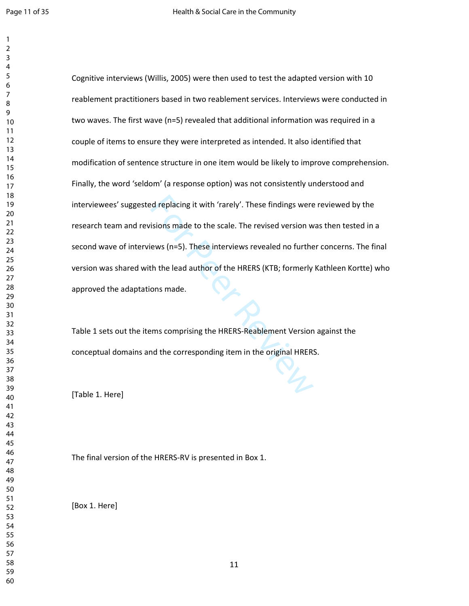$\mathbf{1}$ 

| 1               |  |
|-----------------|--|
| $\overline{2}$  |  |
| 3               |  |
| 4               |  |
| 5               |  |
| 6               |  |
|                 |  |
| 8               |  |
| 9               |  |
| 10              |  |
| 11              |  |
|                 |  |
| $\overline{12}$ |  |
| 13              |  |
| 14              |  |
| 15              |  |
| $\frac{16}{2}$  |  |
| $\frac{1}{2}$   |  |
| 18              |  |
| 19              |  |
| 20              |  |
| $\overline{21}$ |  |
| $\overline{22}$ |  |
| $^{23}$         |  |
| 24              |  |
| 25              |  |
| 26              |  |
| 27              |  |
|                 |  |
| 28              |  |
| 29              |  |
| 30              |  |
| 31              |  |
| 32              |  |
| 33              |  |
| 34              |  |
| 35              |  |
| 36              |  |
| 37              |  |
| R۶              |  |
| 39              |  |
| 40              |  |
| 41              |  |
| 42              |  |
| 43              |  |
| 44              |  |
| 45              |  |
| 46              |  |
|                 |  |
| 47              |  |
| 48              |  |
| 49              |  |
| 50              |  |
| 51              |  |
| 52              |  |
| 53              |  |
| 54              |  |
| 55              |  |
| 56              |  |
| 57              |  |
| 58              |  |
| 59              |  |
|                 |  |

exercuted replacing it with 'rarely'. These findings were<br>
stions made to the scale. The revised version w<br>
ews (n=5). These interviews revealed no further<br>
th the lead author of the HRERS (KTB; formerly<br>
ons made.<br>
For PH Cognitive interviews (Willis, 2005) were then used to test the adapted version with 10 reablement practitioners based in two reablement services. Interviews were conducted in two waves. The first wave (n=5) revealed that additional information was required in a couple of items to ensure they were interpreted as intended. It also identified that modification of sentence structure in one item would be likely to improve comprehension. Finally, the word 'seldom' (a response option) was not consistently understood and interviewees' suggested replacing it with 'rarely'. These findings were reviewed by the research team and revisions made to the scale. The revised version was then tested in a second wave of interviews (n=5). These interviews revealed no further concerns. The final version was shared with the lead author of the HRERS (KTB; formerly Kathleen Kortte) who approved the adaptations made.

Table 1 sets out the items comprising the HRERS-Reablement Version against the conceptual domains and the corresponding item in the original HRERS.

[Table 1. Here]

The final version of the HRERS-RV is presented in Box 1.

[Box 1. Here]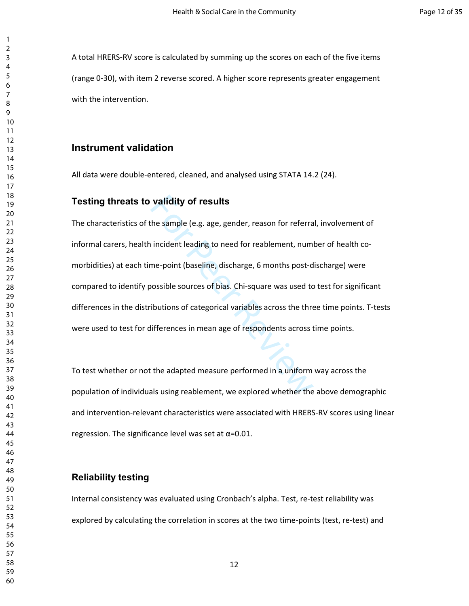A total HRERS-RV score is calculated by summing up the scores on each of the five items (range 0-30), with item 2 reverse scored. A higher score represents greater engagement with the intervention.

#### **Instrument validation**

All data were double-entered, cleaned, and analysed using STATA 14.2 (24).

#### **Testing threats to validity of results**

validity of results<br>the sample (e.g. age, gender, reason for referra<br>incident leading to need for reablement, num<br>me-point (baseline, discharge, 6 months post-d<br>nossible sources of bias. Chi-square was used to<br>ibutions of The characteristics of the sample (e.g. age, gender, reason for referral, involvement of informal carers, health incident leading to need for reablement, number of health comorbidities) at each time-point (baseline, discharge, 6 months post-discharge) were compared to identify possible sources of bias. Chi-square was used to test for significant differences in the distributions of categorical variables across the three time points. T-tests were used to test for differences in mean age of respondents across time points.

To test whether or not the adapted measure performed in a uniform way across the population of individuals using reablement, we explored whether the above demographic and intervention-relevant characteristics were associated with HRERS-RV scores using linear regression. The significance level was set at  $\alpha$ =0.01.

#### **Reliability testing**

Internal consistency was evaluated using Cronbach's alpha. Test, re-test reliability was explored by calculating the correlation in scores at the two time-points (test, re-test) and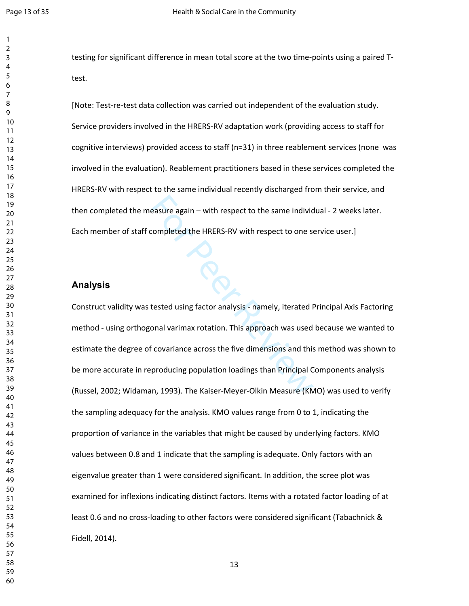$\mathbf{1}$  $\overline{2}$ 

testing for significant difference in mean total score at the two time-points using a paired Ttest.

[Note: Test-re-test data collection was carried out independent of the evaluation study. Service providers involved in the HRERS-RV adaptation work (providing access to staff for cognitive interviews) provided access to staff (n=31) in three reablement services (none was involved in the evaluation). Reablement practitioners based in these services completed the HRERS-RV with respect to the same individual recently discharged from their service, and then completed the measure again – with respect to the same individual - 2 weeks later. Each member of staff completed the HRERS-RV with respect to one service user.]

#### **Analysis**

easure again – with respect to the same individ<br>
completed the HRERS-RV with respect to one so<br>
fested using factor analysis - namely, iterated F<br>
onal varimax rotation. This approach was used<br>
feovariance across the five Construct validity was tested using factor analysis - namely, iterated Principal Axis Factoring method - using orthogonal varimax rotation. This approach was used because we wanted to estimate the degree of covariance across the five dimensions and this method was shown to be more accurate in reproducing population loadings than Principal Components analysis (Russel, 2002; Widaman, 1993). The Kaiser-Meyer-Olkin Measure (KMO) was used to verify the sampling adequacy for the analysis. KMO values range from 0 to 1, indicating the proportion of variance in the variables that might be caused by underlying factors. KMO values between 0.8 and 1 indicate that the sampling is adequate. Only factors with an eigenvalue greater than 1 were considered significant. In addition, the scree plot was examined for inflexions indicating distinct factors. Items with a rotated factor loading of at least 0.6 and no cross-loading to other factors were considered significant (Tabachnick & Fidell, 2014).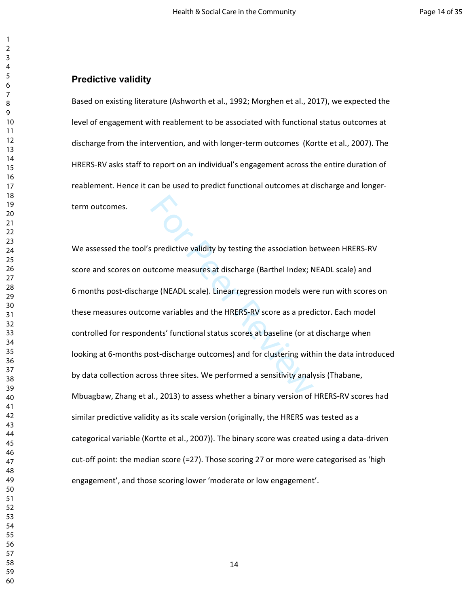#### **Predictive validity**

Based on existing literature (Ashworth et al., 1992; Morghen et al., 2017), we expected the level of engagement with reablement to be associated with functional status outcomes at discharge from the intervention, and with longer-term outcomes (Kortte et al., 2007). The HRERS-RV asks staff to report on an individual's engagement across the entire duration of reablement. Hence it can be used to predict functional outcomes at discharge and longerterm outcomes.

s predictive validity by testing the association b<br>trome measures at discharge (Barthel Index; N<br>ge (NEADL scale). Linear regression models were<br>me variables and the HRERS-RV score as a pred<br>ents' functional status scores We assessed the tool's predictive validity by testing the association between HRERS-RV score and scores on outcome measures at discharge (Barthel Index; NEADL scale) and 6 months post-discharge (NEADL scale). Linear regression models were run with scores on these measures outcome variables and the HRERS-RV score as a predictor. Each model controlled for respondents' functional status scores at baseline (or at discharge when looking at 6-months post-discharge outcomes) and for clustering within the data introduced by data collection across three sites. We performed a sensitivity analysis (Thabane, Mbuagbaw, Zhang et al., 2013) to assess whether a binary version of HRERS-RV scores had similar predictive validity as its scale version (originally, the HRERS was tested as a categorical variable (Kortte et al., 2007)). The binary score was created using a data-driven cut-off point: the median score (=27). Those scoring 27 or more were categorised as 'high engagement', and those scoring lower 'moderate or low engagement'.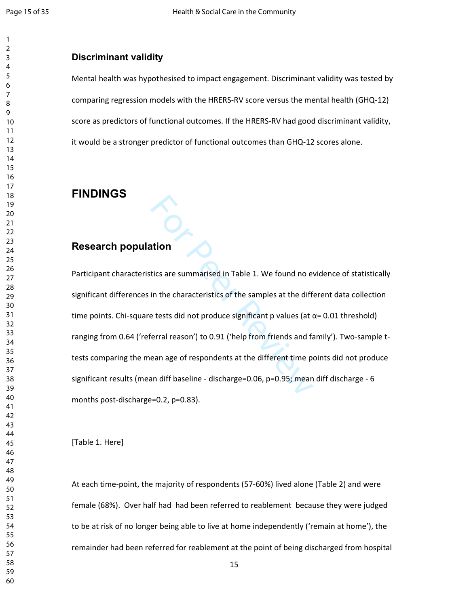$\mathbf{1}$ 

# **Discriminant validity**

Mental health was hypothesised to impact engagement. Discriminant validity was tested by comparing regression models with the HRERS-RV score versus the mental health (GHQ-12) score as predictors of functional outcomes. If the HRERS-RV had good discriminant validity, it would be a stronger predictor of functional outcomes than GHQ-12 scores alone.

# **FINDINGS**

# **Research population**

ation<br>tics are summarised in Table 1. We found no even in the characteristics of the samples at the different et that is a test did not produce significant p values (at comparison and fall the sample of respondents at the Participant characteristics are summarised in Table 1. We found no evidence of statistically significant differences in the characteristics of the samples at the different data collection time points. Chi-square tests did not produce significant p values (at  $\alpha$ = 0.01 threshold) ranging from 0.64 ('referral reason') to 0.91 ('help from friends and family'). Two-sample ttests comparing the mean age of respondents at the different time points did not produce significant results (mean diff baseline - discharge=0.06, p=0.95; mean diff discharge - 6 months post-discharge=0.2, p=0.83).

[Table 1. Here]

At each time-point, the majority of respondents (57-60%) lived alone (Table 2) and were female (68%). Over half had had been referred to reablement because they were judged to be at risk of no longer being able to live at home independently ('remain at home'), the remainder had been referred for reablement at the point of being discharged from hospital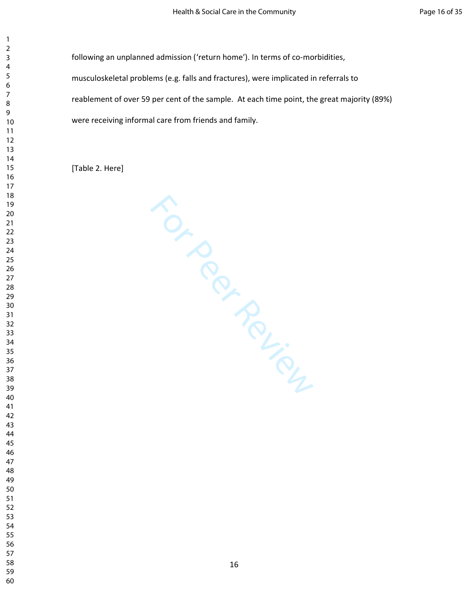following an unplanned admission ('return home'). In terms of co-morbidities, musculoskeletal problems (e.g. falls and fractures), were implicated in referrals to reablement of over 59 per cent of the sample. At each time point, the great majority (89%) were receiving informal care from friends and family.

[Table 2. Here]

For Per Lieu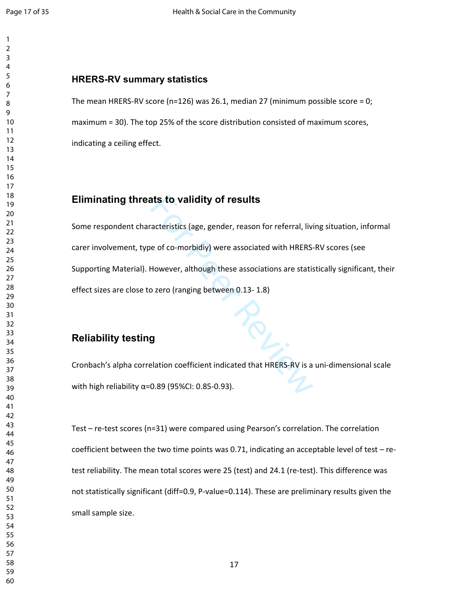#### $\overline{2}$

# **HRERS-RV summary statistics**

The mean HRERS-RV score (n=126) was 26.1, median 27 (minimum possible score = 0; maximum = 30). The top 25% of the score distribution consisted of maximum scores, indicating a ceiling effect.

# **Eliminating threats to validity of results**

**atts to validity of results**<br>
acteristics (age, gender, reason for referral, livier<br>
acteristics (age, gender, reason for referral, livier<br>
However, although these associations are statis<br>
by zero (ranging between 0.13-1. Some respondent characteristics (age, gender, reason for referral, living situation, informal carer involvement, type of co-morbidiy) were associated with HRERS-RV scores (see Supporting Material). However, although these associations are statistically significant, their effect sizes are close to zero (ranging between 0.13- 1.8)

# **Reliability testing**

Cronbach's alpha correlation coefficient indicated that HRERS-RV is a uni-dimensional scale with high reliability  $α=0.89$  (95%CI: 0.85-0.93).

Test – re-test scores (n=31) were compared using Pearson's correlation. The correlation coefficient between the two time points was 0.71, indicating an acceptable level of test – retest reliability. The mean total scores were 25 (test) and 24.1 (re-test). This difference was not statistically significant (diff=0.9, P-value=0.114). These are preliminary results given the small sample size.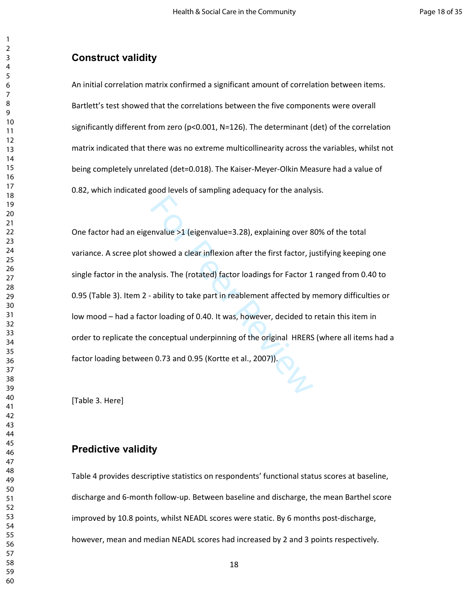## **Construct validity**

An initial correlation matrix confirmed a significant amount of correlation between items. Bartlett's test showed that the correlations between the five components were overall significantly different from zero (p<0.001, N=126). The determinant (det) of the correlation matrix indicated that there was no extreme multicollinearity across the variables, whilst not being completely unrelated (det=0.018). The Kaiser-Meyer-Olkin Measure had a value of 0.82, which indicated good levels of sampling adequacy for the analysis.

mvalue >1 (eigenvalue=3.28), explaining over 8<br>showed a clear inflexion after the first factor, ju<br>lysis. The (rotated) factor loadings for Factor 1<br>ability to take part in reablement affected by r<br>or loading of 0.40. It w One factor had an eigenvalue >1 (eigenvalue=3.28), explaining over 80% of the total variance. A scree plot showed a clear inflexion after the first factor, justifying keeping one single factor in the analysis. The (rotated) factor loadings for Factor 1 ranged from 0.40 to 0.95 (Table 3). Item 2 - ability to take part in reablement affected by memory difficulties or low mood – had a factor loading of 0.40. It was, however, decided to retain this item in order to replicate the conceptual underpinning of the original HRERS (where all items had a factor loading between 0.73 and 0.95 (Kortte et al., 2007)).

[Table 3. Here]

#### **Predictive validity**

Table 4 provides descriptive statistics on respondents' functional status scores at baseline, discharge and 6-month follow-up. Between baseline and discharge, the mean Barthel score improved by 10.8 points, whilst NEADL scores were static. By 6 months post-discharge, however, mean and median NEADL scores had increased by 2 and 3 points respectively.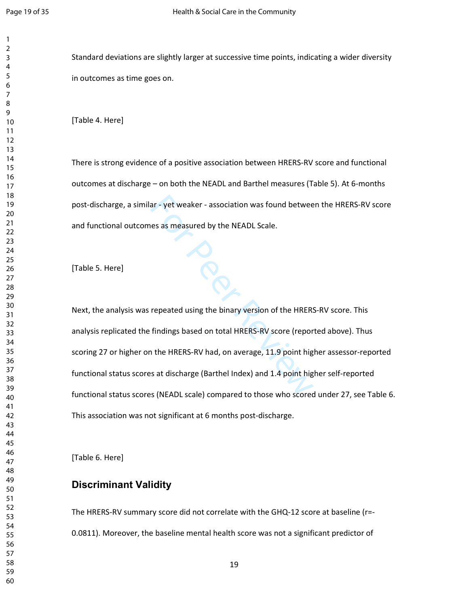Standard deviations are slightly larger at successive time points, indicating a wider diversity in outcomes as time goes on.

[Table 4. Here]

For There is strong evidence of a positive association between HRERS-RV score and functional outcomes at discharge – on both the NEADL and Barthel measures (Table 5). At 6-months post-discharge, a similar - yet weaker - association was found between the HRERS-RV score and functional outcomes as measured by the NEADL Scale.

[Table 5. Here]

Next, the analysis was repeated using the binary version of the HRERS-RV score. This analysis replicated the findings based on total HRERS-RV score (reported above). Thus scoring 27 or higher on the HRERS-RV had, on average, 11.9 point higher assessor-reported functional status scores at discharge (Barthel Index) and 1.4 point higher self-reported functional status scores (NEADL scale) compared to those who scored under 27, see Table 6. This association was not significant at 6 months post-discharge.

[Table 6. Here]

## **Discriminant Validity**

The HRERS-RV summary score did not correlate with the GHQ-12 score at baseline (r=- 0.0811). Moreover, the baseline mental health score was not a significant predictor of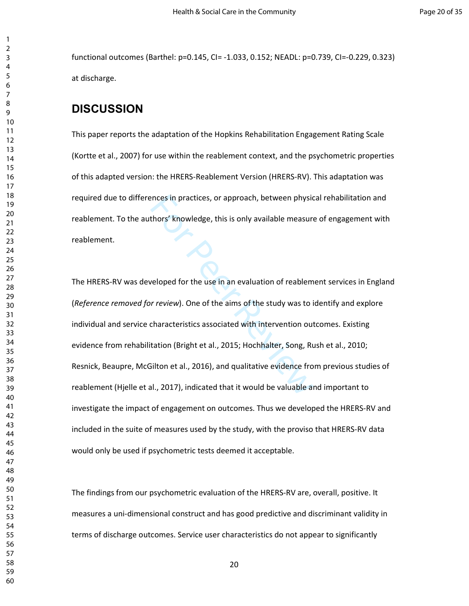functional outcomes (Barthel: p=0.145, CI= -1.033, 0.152; NEADL: p=0.739, CI=-0.229, 0.323) at discharge.

# **DISCUSSION**

This paper reports the adaptation of the Hopkins Rehabilitation Engagement Rating Scale (Kortte et al., 2007) for use within the reablement context, and the psychometric properties of this adapted version: the HRERS-Reablement Version (HRERS-RV). This adaptation was required due to differences in practices, or approach, between physical rehabilitation and reablement. To the authors' knowledge, this is only available measure of engagement with reablement.

ences in practices, or approach, between physic<br>thors' knowledge, this is only available measure<br>veloped for the use in an evaluation of reablem<br>r review). One of the aims of the study was to in<br>characteristics associated The HRERS-RV was developed for the use in an evaluation of reablement services in England (*Reference removed for review*). One of the aims of the study was to identify and explore individual and service characteristics associated with intervention outcomes. Existing evidence from rehabilitation (Bright et al., 2015; Hochhalter, Song, Rush et al., 2010; Resnick, Beaupre, McGilton et al., 2016), and qualitative evidence from previous studies of reablement (Hjelle et al., 2017), indicated that it would be valuable and important to investigate the impact of engagement on outcomes. Thus we developed the HRERS-RV and included in the suite of measures used by the study, with the proviso that HRERS-RV data would only be used if psychometric tests deemed it acceptable.

The findings from our psychometric evaluation of the HRERS-RV are, overall, positive. It measures a uni-dimensional construct and has good predictive and discriminant validity in terms of discharge outcomes. Service user characteristics do not appear to significantly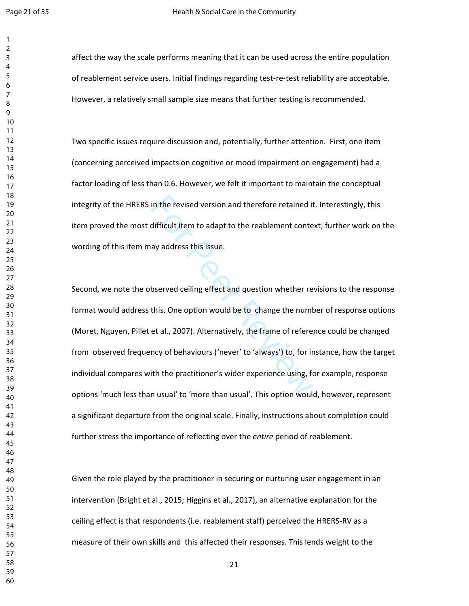affect the way the scale performs meaning that it can be used across the entire population of reablement service users. Initial findings regarding test-re-test reliability are acceptable. However, a relatively small sample size means that further testing is recommended.

Two specific issues require discussion and, potentially, further attention. First, one item (concerning perceived impacts on cognitive or mood impairment on engagement) had a factor loading of less than 0.6. However, we felt it important to maintain the conceptual integrity of the HRERS in the revised version and therefore retained it. Interestingly, this item proved the most difficult item to adapt to the reablement context; further work on the wording of this item may address this issue.

in the revised version and therefore retained it<br>difficult item to adapt to the reablement conte<br>ay address this issue.<br>bserved ceiling effect and question whether re<br>this. One option would be to change the numt<br>et al., 20 Second, we note the observed ceiling effect and question whether revisions to the response format would address this. One option would be to change the number of response options (Moret, Nguyen, Pillet et al., 2007). Alternatively, the frame of reference could be changed from observed frequency of behaviours ('never' to 'always') to, for instance, how the target individual compares with the practitioner's wider experience using, for example, response options 'much less than usual' to 'more than usual'. This option would, however, represent a significant departure from the original scale. Finally, instructions about completion could further stress the importance of reflecting over the *entire* period of reablement.

Given the role played by the practitioner in securing or nurturing user engagement in an intervention (Bright et al., 2015; Higgins et al., 2017), an alternative explanation for the ceiling effect is that respondents (i.e. reablement staff) perceived the HRERS-RV as a measure of their own skills and this affected their responses. This lends weight to the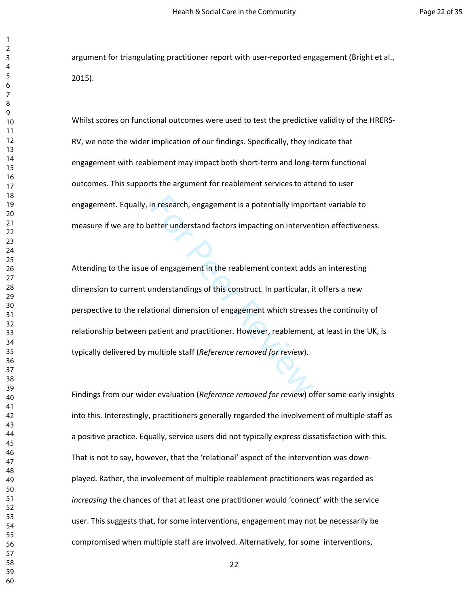argument for triangulating practitioner report with user-reported engagement (Bright et al., 2015).

Whilst scores on functional outcomes were used to test the predictive validity of the HRERS-RV, we note the wider implication of our findings. Specifically, they indicate that engagement with reablement may impact both short-term and long-term functional outcomes. This supports the argument for reablement services to attend to user engagement. Equally, in research, engagement is a potentially important variable to measure if we are to better understand factors impacting on intervention effectiveness.

in research, engagement is a potentially import<br>etter understand factors impacting on interver<br>of engagement in the reablement context adds<br>understandings of this construct. In particular, if<br>tional dimension of engagement Attending to the issue of engagement in the reablement context adds an interesting dimension to current understandings of this construct. In particular, it offers a new perspective to the relational dimension of engagement which stresses the continuity of relationship between patient and practitioner. However, reablement, at least in the UK, is typically delivered by multiple staff (*Reference removed for review*).

Findings from our wider evaluation (*Reference removed for review*) offer some early insights into this. Interestingly, practitioners generally regarded the involvement of multiple staff as a positive practice. Equally, service users did not typically express dissatisfaction with this. That is not to say, however, that the 'relational' aspect of the intervention was downplayed. Rather, the involvement of multiple reablement practitioners was regarded as *increasing* the chances of that at least one practitioner would 'connect' with the service user. This suggests that, for some interventions, engagement may not be necessarily be compromised when multiple staff are involved. Alternatively, for some interventions,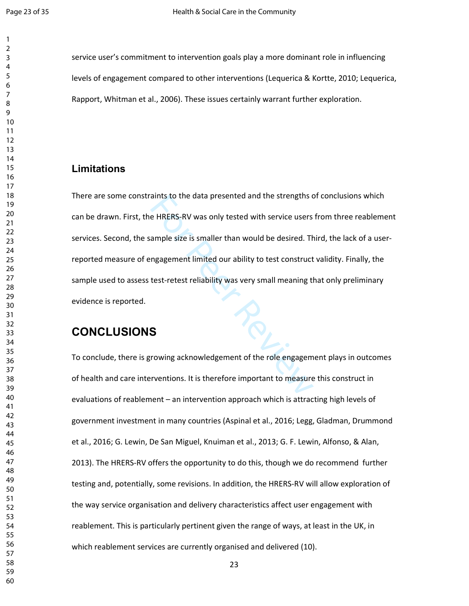service user's commitment to intervention goals play a more dominant role in influencing levels of engagement compared to other interventions (Lequerica & Kortte, 2010; Lequerica, Rapport, Whitman et al., 2006). These issues certainly warrant further exploration.

# **Limitations**

aints to the data presented and the strengths c<br>e HRERS-RV was only tested with service users<br>ample size is smaller than would be desired. Th<br>ngagement limited our ability to test construct<br>test-retest reliability was very There are some constraints to the data presented and the strengths of conclusions which can be drawn. First, the HRERS-RV was only tested with service users from three reablement services. Second, the sample size is smaller than would be desired. Third, the lack of a userreported measure of engagement limited our ability to test construct validity. Finally, the sample used to assess test-retest reliability was very small meaning that only preliminary evidence is reported.

# **CONCLUSIONS**

To conclude, there is growing acknowledgement of the role engagement plays in outcomes of health and care interventions. It is therefore important to measure this construct in evaluations of reablement – an intervention approach which is attracting high levels of government investment in many countries (Aspinal et al., 2016; Legg, Gladman, Drummond et al., 2016; G. Lewin, De San Miguel, Knuiman et al., 2013; G. F. Lewin, Alfonso, & Alan, 2013). The HRERS-RV offers the opportunity to do this, though we do recommend further testing and, potentially, some revisions. In addition, the HRERS-RV will allow exploration of the way service organisation and delivery characteristics affect user engagement with reablement. This is particularly pertinent given the range of ways, at least in the UK, in which reablement services are currently organised and delivered (10).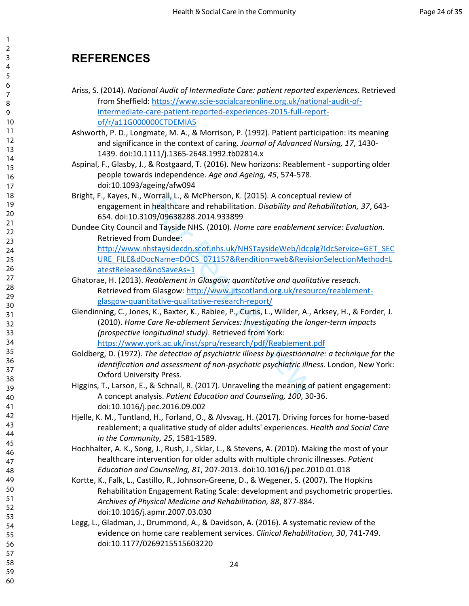# **REFERENCES**

- Ariss, S. (2014). *National Audit of Intermediate Care: patient reported experiences*. Retrieved from Sheffield: https://www.scie-socialcareonline.org.uk/national-audit-ofintermediate-care-patient-reported-experiences-2015-full-reportof/r/a11G000000CTDEMIA5
- Ashworth, P. D., Longmate, M. A., & Morrison, P. (1992). Patient participation: its meaning and significance in the context of caring. *Journal of Advanced Nursing, 17*, 1430- 1439. doi:10.1111/j.1365-2648.1992.tb02814.x
- Aspinal, F., Glasby, J., & Rostgaard, T. (2016). New horizons: Reablement supporting older people towards independence. *Age and Ageing, 45*, 574-578. doi:10.1093/ageing/afw094
- Bright, F., Kayes, N., Worrall, L., & McPherson, K. (2015). A conceptual review of engagement in healthcare and rehabilitation. *Disability and Rehabilitation, 37*, 643- 654. doi:10.3109/09638288.2014.933899
- Dundee City Council and Tayside NHS. (2010). *Home care enablement service: Evaluation.* Retrieved from Dundee: http://www.nhstaysidecdn.scot.nhs.uk/NHSTaysideWeb/idcplg?IdcService=GET\_SEC
	- URE\_FILE&dDocName=DOCS\_071157&Rendition=web&RevisionSelectionMethod=L atestReleased&noSaveAs=1
- Ghatorae, H. (2013). *Reablement in Glasgow: quantitative and qualitative reseach*. Retrieved from Glasgow: http://www.jitscotland.org.uk/resource/reablementglasgow-quantitative-qualitative-research-report/
- orrall, L., & McPherson, K. (2015). A conceptua<br>healthcare and rehabilitation. *Disability and Re*<br>99/09638288.2014.933899<br>nd Tayside NHS. (2010). Home care enablement<br>Dundee:<br>staysidecdn.scot.nhs.uk/NHSTaysideWeb/idcp<br>cNa Glendinning, C., Jones, K., Baxter, K., Rabiee, P., Curtis, L., Wilder, A., Arksey, H., & Forder, J. (2010). *Home Care Re-ablement Services: Investigating the longer-term impacts (prospective longitudinal study)*. Retrieved from York: https://www.york.ac.uk/inst/spru/research/pdf/Reablement.pdf
- Goldberg, D. (1972). *The detection of psychiatric illness by questionnaire: a technique for the identification and assessment of non-psychotic psychiatric illness*. London, New York: Oxford University Press.
- Higgins, T., Larson, E., & Schnall, R. (2017). Unraveling the meaning of patient engagement: A concept analysis. *Patient Education and Counseling, 100*, 30-36. doi:10.1016/j.pec.2016.09.002
- Hjelle, K. M., Tuntland, H., Forland, O., & Alvsvag, H. (2017). Driving forces for home-based reablement; a qualitative study of older adults' experiences. *Health and Social Care in the Community, 25*, 1581-1589.
- Hochhalter, A. K., Song, J., Rush, J., Sklar, L., & Stevens, A. (2010). Making the most of your healthcare intervention for older adults with multiple chronic illnesses. *Patient Education and Counseling, 81*, 207-2013. doi:10.1016/j.pec.2010.01.018
- Kortte, K., Falk, L., Castillo, R., Johnson-Greene, D., & Wegener, S. (2007). The Hopkins Rehabilitation Engagement Rating Scale: development and psychometric properties. *Archives of Physical Medicine and Rehabilitation, 88*, 877-884. doi:10.1016/j.apmr.2007.03.030
- Legg, L., Gladman, J., Drummond, A., & Davidson, A. (2016). A systematic review of the evidence on home care reablement services. *Clinical Rehabilitation, 30*, 741-749. doi:10.1177/0269215515603220

60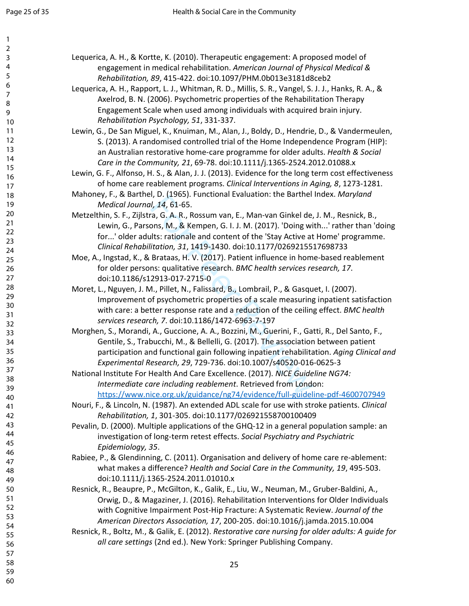| 1              |                                                                                                    |
|----------------|----------------------------------------------------------------------------------------------------|
| $\overline{2}$ | Lequerica, A. H., & Kortte, K. (2010). Therapeutic engagement: A proposed model of                 |
| 3<br>4         |                                                                                                    |
| 5              | engagement in medical rehabilitation. American Journal of Physical Medical &                       |
| 6              | Rehabilitation, 89, 415-422. doi:10.1097/PHM.0b013e3181d8ceb2                                      |
| $\overline{7}$ | Lequerica, A. H., Rapport, L. J., Whitman, R. D., Millis, S. R., Vangel, S. J. J., Hanks, R. A., & |
| 8              | Axelrod, B. N. (2006). Psychometric properties of the Rehabilitation Therapy                       |
| 9              | Engagement Scale when used among individuals with acquired brain injury.                           |
| 10             | Rehabilitation Psychology, 51, 331-337.                                                            |
| 11             | Lewin, G., De San Miguel, K., Knuiman, M., Alan, J., Boldy, D., Hendrie, D., & Vandermeulen,       |
| 12             | S. (2013). A randomised controlled trial of the Home Independence Program (HIP):                   |
| 13<br>14       | an Australian restorative home-care programme for older adults. Health & Social                    |
| 15             | Care in the Community, 21, 69-78. doi:10.1111/j.1365-2524.2012.01088.x                             |
| 16             | Lewin, G. F., Alfonso, H. S., & Alan, J. J. (2013). Evidence for the long term cost effectiveness  |
| 17             | of home care reablement programs. Clinical Interventions in Aging, 8, 1273-1281.                   |
| 18             | Mahoney, F., & Barthel, D. (1965). Functional Evaluation: the Barthel Index. Maryland              |
| 19             | Medical Journal, 14, 61-65.                                                                        |
| 20             | Metzelthin, S. F., Zijlstra, G. A. R., Rossum van, E., Man-van Ginkel de, J. M., Resnick, B.,      |
| 21             | Lewin, G., Parsons, M., & Kempen, G. I. J. M. (2017). 'Doing with' rather than 'doing              |
| 22             | for' older adults: rationale and content of the 'Stay Active at Home' programme.                   |
| 23             | Clinical Rehabilitation, 31, 1419-1430. doi:10.1177/0269215517698733                               |
| 24<br>25       | Moe, A., Ingstad, K., & Brataas, H. V. (2017). Patient influence in home-based reablement          |
| 26             | for older persons: qualitative research. BMC health services research, 17.                         |
| 27             | doi:10.1186/s12913-017-2715-0                                                                      |
| 28             | Moret, L., Nguyen, J. M., Pillet, N., Falissard, B., Lombrail, P., & Gasquet, I. (2007).           |
| 29             | Improvement of psychometric properties of a scale measuring inpatient satisfaction                 |
| 30             | with care: a better response rate and a reduction of the ceiling effect. BMC health                |
| 31             | services research, 7. doi:10.1186/1472-6963-7-197                                                  |
| 32             | Morghen, S., Morandi, A., Guccione, A. A., Bozzini, M., Guerini, F., Gatti, R., Del Santo, F.,     |
| 33<br>34       | Gentile, S., Trabucchi, M., & Bellelli, G. (2017). The association between patient                 |
| 35             | participation and functional gain following inpatient rehabilitation. Aging Clinical and           |
| 36             | Experimental Research, 29, 729-736. doi:10.1007/s40520-016-0625-3                                  |
| 37             | National Institute For Health And Care Excellence. (2017). NICE Guideline NG74:                    |
| 38             | Intermediate care including reablement. Retrieved from London:                                     |
| 39             | https://www.nice.org.uk/guidance/ng74/evidence/full-guideline-pdf-4600707949                       |
| 40             | Nouri, F., & Lincoln, N. (1987). An extended ADL scale for use with stroke patients. Clinical      |
| 41             |                                                                                                    |
| 42<br>43       | Rehabilitation, 1, 301-305. doi:10.1177/026921558700100409                                         |
| 44             | Pevalin, D. (2000). Multiple applications of the GHQ-12 in a general population sample: an         |
| 45             | investigation of long-term retest effects. Social Psychiatry and Psychiatric                       |
| 46             | Epidemiology, 35.                                                                                  |
| 47             | Rabiee, P., & Glendinning, C. (2011). Organisation and delivery of home care re-ablement:          |
| 48             | what makes a difference? Health and Social Care in the Community, 19, 495-503.                     |
| 49             | doi:10.1111/j.1365-2524.2011.01010.x                                                               |
| 50             | Resnick, R., Beaupre, P., McGilton, K., Galik, E., Liu, W., Neuman, M., Gruber-Baldini, A.,        |
| 51             | Orwig, D., & Magaziner, J. (2016). Rehabilitation Interventions for Older Individuals              |
| 52<br>53       | with Cognitive Impairment Post-Hip Fracture: A Systematic Review. Journal of the                   |
| 54             | American Directors Association, 17, 200-205. doi:10.1016/j.jamda.2015.10.004                       |
| 55             | Resnick, R., Boltz, M., & Galik, E. (2012). Restorative care nursing for older adults: A guide for |
| 56             | all care settings (2nd ed.). New York: Springer Publishing Company.                                |
| 57             |                                                                                                    |
| 58             | 25                                                                                                 |
| 59             |                                                                                                    |
| 60             |                                                                                                    |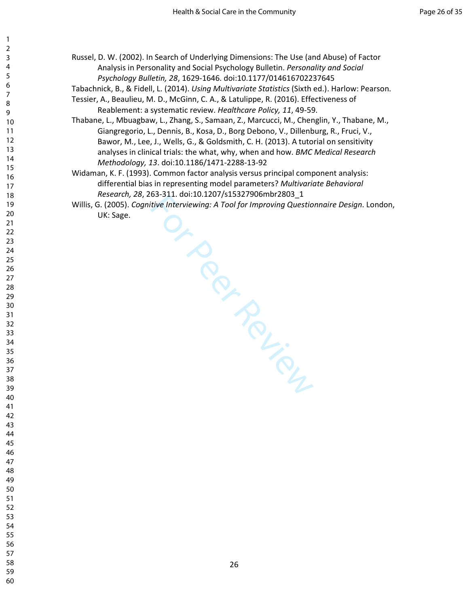- Russel, D. W. (2002). In Search of Underlying Dimensions: The Use (and Abuse) of Factor Analysis in Personality and Social Psychology Bulletin. *Personality and Social Psychology Bulletin, 28*, 1629-1646. doi:10.1177/014616702237645
- Tabachnick, B., & Fidell, L. (2014). *Using Multivariate Statistics* (Sixth ed.). Harlow: Pearson.
- Tessier, A., Beaulieu, M. D., McGinn, C. A., & Latulippe, R. (2016). Effectiveness of Reablement: a systematic review. *Healthcare Policy, 11*, 49-59.
- Thabane, L., Mbuagbaw, L., Zhang, S., Samaan, Z., Marcucci, M., Chenglin, Y., Thabane, M., Giangregorio, L., Dennis, B., Kosa, D., Borg Debono, V., Dillenburg, R., Fruci, V., Bawor, M., Lee, J., Wells, G., & Goldsmith, C. H. (2013). A tutorial on sensitivity analyses in clinical trials: the what, why, when and how. *BMC Medical Research Methodology, 13*. doi:10.1186/1471-2288-13-92
- Widaman, K. F. (1993). Common factor analysis versus principal component analysis: differential bias in representing model parameters? *Multivariate Behavioral Research, 28*, 263-311. doi:10.1207/s15327906mbr2803\_1
- Or Peer Review Willis, G. (2005). *Cognitive Interviewing: A Tool for Improving Questionnaire Design*. London, UK: Sage.

- 
-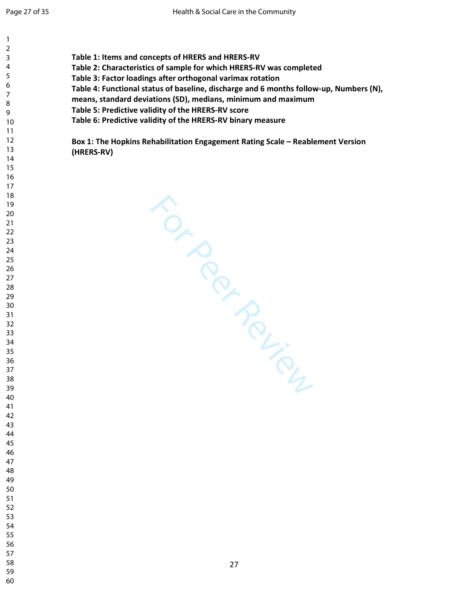| 1                       |                                                                                        |
|-------------------------|----------------------------------------------------------------------------------------|
| $\overline{\mathbf{c}}$ |                                                                                        |
| 3                       | Table 1: Items and concepts of HRERS and HRERS-RV                                      |
| 4                       | Table 2: Characteristics of sample for which HRERS-RV was completed                    |
| 5<br>6                  | Table 3: Factor loadings after orthogonal varimax rotation                             |
| 7                       | Table 4: Functional status of baseline, discharge and 6 months follow-up, Numbers (N), |
|                         | means, standard deviations (SD), medians, minimum and maximum                          |
|                         | Table 5: Predictive validity of the HRERS-RV score                                     |
|                         | Table 6: Predictive validity of the HRERS-RV binary measure                            |
|                         |                                                                                        |
|                         |                                                                                        |
|                         | Box 1: The Hopkins Rehabilitation Engagement Rating Scale - Reablement Version         |
|                         | (HRERS-RV)                                                                             |
|                         |                                                                                        |
|                         |                                                                                        |
|                         |                                                                                        |
|                         |                                                                                        |
|                         |                                                                                        |
|                         |                                                                                        |
|                         |                                                                                        |
|                         |                                                                                        |
|                         |                                                                                        |
|                         |                                                                                        |
|                         |                                                                                        |
|                         |                                                                                        |
|                         |                                                                                        |
|                         |                                                                                        |
|                         | TON PROVIS                                                                             |
|                         |                                                                                        |
|                         |                                                                                        |
|                         |                                                                                        |
|                         |                                                                                        |
|                         |                                                                                        |
|                         |                                                                                        |
|                         |                                                                                        |
|                         |                                                                                        |
|                         |                                                                                        |
|                         |                                                                                        |
|                         |                                                                                        |
|                         |                                                                                        |
|                         |                                                                                        |
|                         |                                                                                        |
|                         |                                                                                        |
|                         |                                                                                        |
|                         |                                                                                        |
|                         |                                                                                        |
|                         |                                                                                        |
|                         |                                                                                        |
|                         |                                                                                        |
|                         |                                                                                        |
|                         |                                                                                        |
|                         |                                                                                        |
|                         |                                                                                        |
|                         |                                                                                        |
| 56                      |                                                                                        |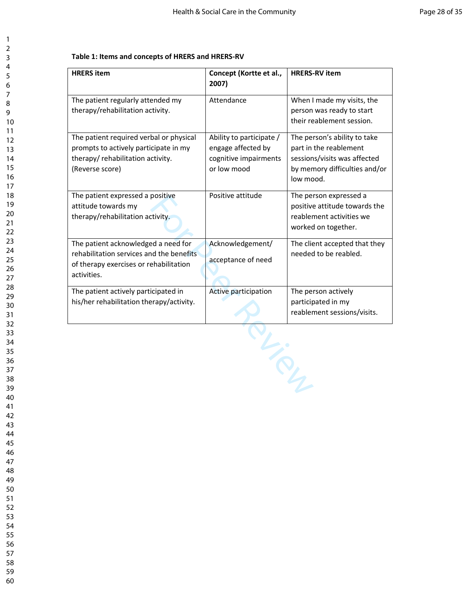#### **Table 1: Items and concepts of HRERS and HRERS-RV**

| <b>HRERS</b> item                                                                                                                        | Concept (Kortte et al.,<br>2007)                                                       | <b>HRERS-RV item</b>                                                                                                                 |
|------------------------------------------------------------------------------------------------------------------------------------------|----------------------------------------------------------------------------------------|--------------------------------------------------------------------------------------------------------------------------------------|
| The patient regularly attended my<br>therapy/rehabilitation activity.                                                                    | Attendance                                                                             | When I made my visits, the<br>person was ready to start<br>their reablement session.                                                 |
| The patient required verbal or physical<br>prompts to actively participate in my<br>therapy/ rehabilitation activity.<br>(Reverse score) | Ability to participate /<br>engage affected by<br>cognitive impairments<br>or low mood | The person's ability to take<br>part in the reablement<br>sessions/visits was affected<br>by memory difficulties and/or<br>low mood. |
| The patient expressed a positive<br>attitude towards my<br>therapy/rehabilitation activity.                                              | Positive attitude                                                                      | The person expressed a<br>positive attitude towards the<br>reablement activities we<br>worked on together.                           |
| The patient acknowledged a need for<br>rehabilitation services and the benefits<br>of therapy exercises or rehabilitation<br>activities. | Acknowledgement/<br>acceptance of need                                                 | The client accepted that they<br>needed to be reabled.                                                                               |
| The patient actively participated in<br>his/her rehabilitation therapy/activity.                                                         | Active participation                                                                   | The person actively<br>participated in my<br>reablement sessions/visits.                                                             |
|                                                                                                                                          |                                                                                        |                                                                                                                                      |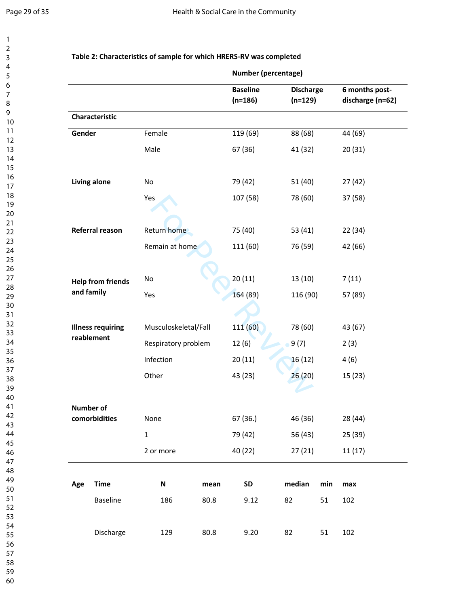$\mathbf{1}$  $\overline{2}$  $\mathsf{3}$  $\overline{\mathbf{4}}$ 5  $\boldsymbol{6}$  $\overline{7}$  $\,8\,$  $\mathsf g$ 

|        |                          | Number (percentage)  |      |                              |                               |                      |                                    |  |
|--------|--------------------------|----------------------|------|------------------------------|-------------------------------|----------------------|------------------------------------|--|
|        |                          |                      |      | <b>Baseline</b><br>$(n=186)$ | <b>Discharge</b><br>$(n=129)$ |                      | 6 months post-<br>discharge (n=62) |  |
|        | Characteristic           |                      |      |                              |                               |                      |                                    |  |
| Gender |                          | Female               |      | 119 (69)                     | 88 (68)                       |                      | 44 (69)                            |  |
|        |                          | Male                 |      | 67 (36)                      | 41 (32)                       |                      | 20(31)                             |  |
|        | <b>Living alone</b>      | No                   |      | 79 (42)                      | 51(40)                        |                      | 27 (42)                            |  |
|        |                          | Yes                  |      | 107 (58)                     | 78 (60)                       |                      | 37 (58)                            |  |
|        | Referral reason          | Return home          |      | 75 (40)                      | 53 (41)                       |                      | 22 (34)                            |  |
|        |                          | Remain at home       |      | 111 (60)                     | 76 (59)                       |                      | 42 (66)                            |  |
|        | <b>Help from friends</b> | No                   |      | 20(11)                       | 13 (10)                       |                      | 7(11)                              |  |
|        | and family               | Yes                  |      | 164 (89)                     | 116 (90)                      |                      | 57 (89)                            |  |
|        | <b>Illness requiring</b> | Musculoskeletal/Fall |      | 111 (60)                     | 78 (60)                       |                      | 43 (67)                            |  |
|        | reablement               | Respiratory problem  |      | 12(6)                        | 9(7)                          |                      | 2(3)                               |  |
|        |                          | Infection            |      | 20(11)                       | 16(12)                        |                      | 4(6)                               |  |
|        |                          | Other                |      | 43 (23)                      | 26(20)                        |                      | 15 (23)                            |  |
|        | <b>Number of</b>         |                      |      |                              |                               |                      |                                    |  |
|        | comorbidities            | None                 |      | 67 (36.)                     | 46 (36)                       |                      | 28 (44)                            |  |
|        |                          | $1\,$                |      | 79 (42)                      | 56 (43)                       |                      | 25 (39)                            |  |
|        |                          | 2 or more            |      | 40 (22)                      | 27(21)                        |                      | 11(17)                             |  |
| Age    | <b>Time</b>              | N                    | mean | <b>SD</b>                    | median                        | $\mathop{{\sf min}}$ | max                                |  |
|        | Baseline                 | 186                  | 80.8 | 9.12                         | 82                            | 51                   | 102                                |  |
|        | Discharge                | 129                  | 80.8 | 9.20                         | 82                            | 51                   | 102                                |  |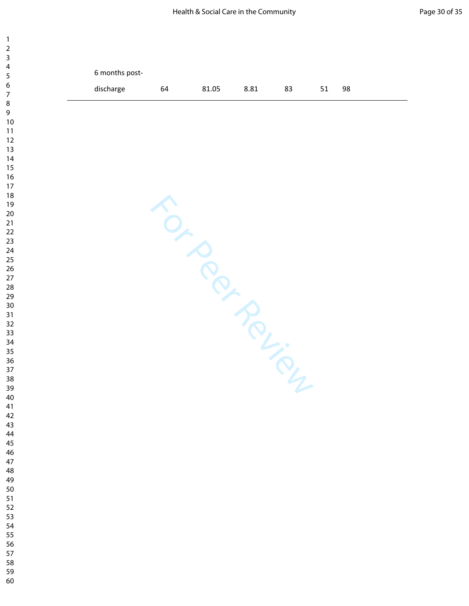| $\mathbf{1}$<br>$\overline{2}$ |                |    |       |      |    |    |    |
|--------------------------------|----------------|----|-------|------|----|----|----|
| 3<br>4<br>5                    | 6 months post- |    |       |      |    |    |    |
| 6<br>$\boldsymbol{7}$          | discharge      | 64 | 81.05 | 8.81 | 83 | 51 | 98 |
| 8<br>9                         |                |    |       |      |    |    |    |
| $10$<br>11                     |                |    |       |      |    |    |    |
| 12<br>13<br>14                 |                |    |       |      |    |    |    |
| 15<br>16                       |                |    |       |      |    |    |    |
| 17<br>18                       | TON POLICINA   |    |       |      |    |    |    |
| 19<br>20                       |                |    |       |      |    |    |    |
| 21<br>22<br>23                 |                |    |       |      |    |    |    |
| 24<br>25                       |                |    |       |      |    |    |    |
| 26<br>27                       |                |    |       |      |    |    |    |
| 28<br>29                       |                |    |       |      |    |    |    |
| 30<br>31<br>32                 |                |    |       |      |    |    |    |
| 33<br>34                       |                |    |       |      |    |    |    |
| 35<br>36                       |                |    |       |      |    |    |    |
| 37<br>38                       |                |    |       |      |    |    |    |
| 39<br>40                       |                |    |       |      |    |    |    |
| 41<br>42<br>43                 |                |    |       |      |    |    |    |
| 44<br>45                       |                |    |       |      |    |    |    |
| 46<br>47                       |                |    |       |      |    |    |    |
| 48<br>49                       |                |    |       |      |    |    |    |
| 50<br>51<br>52                 |                |    |       |      |    |    |    |
| 53<br>54                       |                |    |       |      |    |    |    |
| 55<br>56                       |                |    |       |      |    |    |    |
| 57<br>58                       |                |    |       |      |    |    |    |
| 59<br>60                       |                |    |       |      |    |    |    |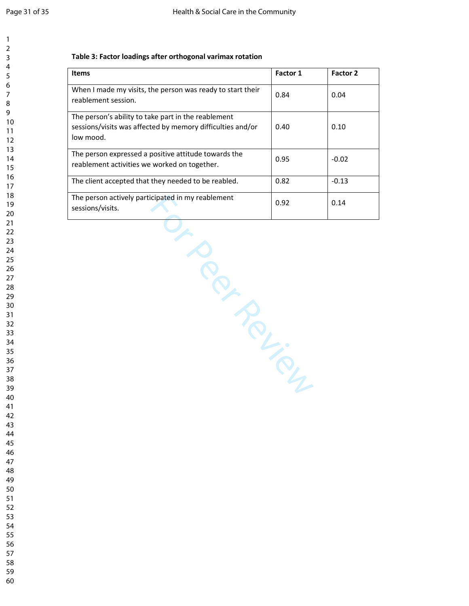#### **Table 3: Factor loadings after orthogonal varimax rotation**

| Items                                                                                                                          | Factor 1 | Factor 2 |
|--------------------------------------------------------------------------------------------------------------------------------|----------|----------|
| When I made my visits, the person was ready to start their<br>reablement session.                                              | 0.84     | 0.04     |
| The person's ability to take part in the reablement<br>sessions/visits was affected by memory difficulties and/or<br>low mood. | 0.40     | 0.10     |
| The person expressed a positive attitude towards the<br>reablement activities we worked on together.                           | 0.95     | $-0.02$  |
| The client accepted that they needed to be reabled.                                                                            | 0.82     | $-0.13$  |
| The person actively participated in my reablement<br>sessions/visits.                                                          | 0.92     | 0.14     |
| IN ROLL                                                                                                                        |          |          |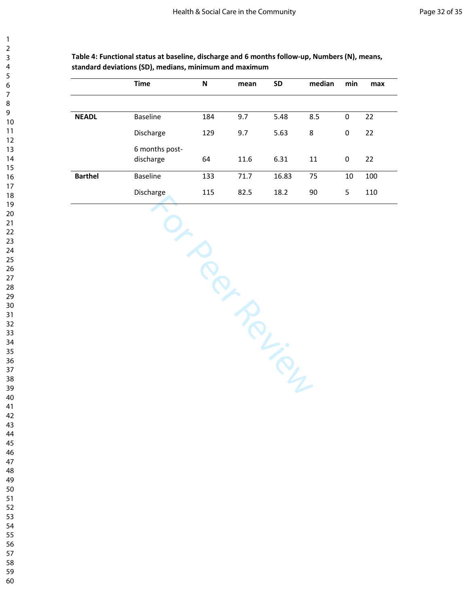|                | <b>Time</b>                 | N   | mean | <b>SD</b> | median | min         | max |
|----------------|-----------------------------|-----|------|-----------|--------|-------------|-----|
|                |                             |     |      |           |        |             |     |
| <b>NEADL</b>   | <b>Baseline</b>             | 184 | 9.7  | 5.48      | 8.5    | $\mathbf 0$ | 22  |
|                | Discharge                   | 129 | 9.7  | 5.63      | 8      | $\mathbf 0$ | 22  |
|                | 6 months post-<br>discharge | 64  | 11.6 | 6.31      | 11     | 0           | 22  |
| <b>Barthel</b> | <b>Baseline</b>             | 133 | 71.7 | 16.83     | 75     | 10          | 100 |
|                | Discharge                   | 115 | 82.5 | 18.2      | 90     | 5           | 110 |

TO PROPILLIBATION

**Table 4: Functional status at baseline, discharge and 6 months follow-up, Numbers (N), means, standard deviations (SD), medians, minimum and maximum**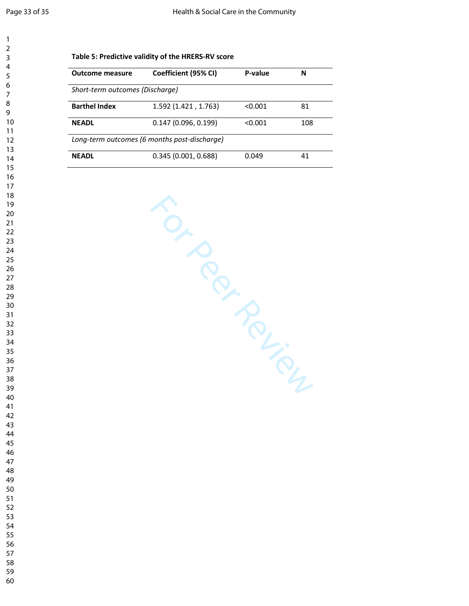| <b>Outcome measure</b>          | Coefficient (95% CI)                         | P-value | N             |
|---------------------------------|----------------------------------------------|---------|---------------|
| Short-term outcomes (Discharge) |                                              |         |               |
| <b>Barthel Index</b>            | 1.592 (1.421, 1.763)                         | < 0.001 | 81            |
| <b>NEADL</b>                    | 0.147(0.096, 0.199)                          | < 0.001 | 108           |
|                                 | Long-term outcomes (6 months post-discharge) |         |               |
| <b>NEADL</b>                    | 0.345(0.001, 0.688)                          | 0.049   | 41            |
|                                 | TON BOUGHT                                   |         | $\mathcal{T}$ |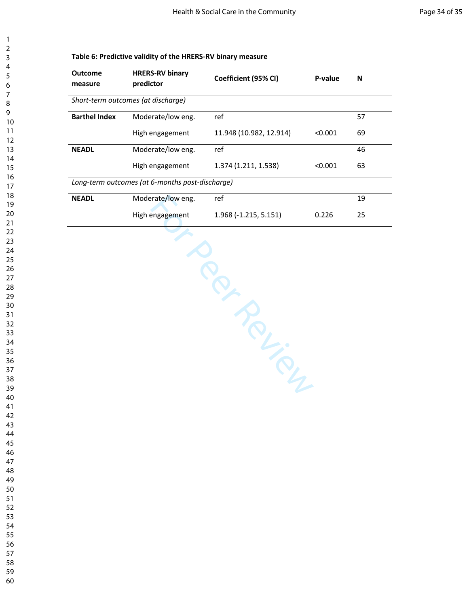| measure              | <b>HRERS-RV binary</b><br>predictor             | Coefficient (95% CI)    | P-value | ${\sf N}$ |
|----------------------|-------------------------------------------------|-------------------------|---------|-----------|
|                      | Short-term outcomes (at discharge)              |                         |         |           |
| <b>Barthel Index</b> | Moderate/low eng.                               | ref                     |         | 57        |
|                      | High engagement                                 | 11.948 (10.982, 12.914) | < 0.001 | 69        |
| <b>NEADL</b>         | Moderate/low eng.                               | ref                     |         | 46        |
|                      | High engagement                                 | 1.374 (1.211, 1.538)    | < 0.001 | 63        |
|                      | Long-term outcomes (at 6-months post-discharge) |                         |         |           |
| <b>NEADL</b>         | Moderate/low eng.                               | ref                     |         | 19        |
|                      | High engagement                                 | 1.968 (-1.215, 5.151)   | 0.226   | 25        |
|                      |                                                 |                         |         |           |
|                      |                                                 | P-A-M-P-                |         |           |